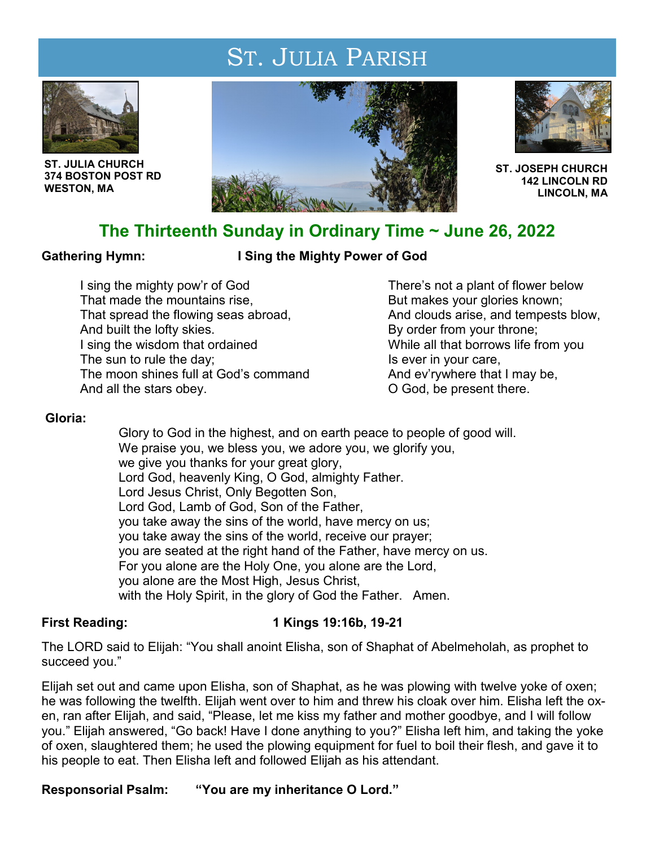# ST. JULIA PARISH



**ST. JULIA CHURCH 374 BOSTON POST RD WESTON, MA** 





**ST. JOSEPH CHURCH 142 LINCOLN RD LINCOLN, MA**

## **The Thirteenth Sunday in Ordinary Time ~ June 26, 2022**

#### **Gathering Hymn: I Sing the Mighty Power of God**

I sing the mighty pow'r of God There's not a plant of flower below That made the mountains rise, That makes your glories known; That spread the flowing seas abroad, That spread the flowing seasure abroad, And clouds arise, and tempests blow, And built the lofty skies. By order from your throne; I sing the wisdom that ordained While all that borrows life from you The sun to rule the day; It is ever in your care, In your care, It is ever in your care, The moon shines full at God's command And ev'rywhere that I may be, And all the stars obey. And all the stars obey.

#### **Gloria:**

Glory to God in the highest, and on earth peace to people of good will. We praise you, we bless you, we adore you, we glorify you, we give you thanks for your great glory, Lord God, heavenly King, O God, almighty Father. Lord Jesus Christ, Only Begotten Son, Lord God, Lamb of God, Son of the Father, you take away the sins of the world, have mercy on us; you take away the sins of the world, receive our prayer; you are seated at the right hand of the Father, have mercy on us. For you alone are the Holy One, you alone are the Lord, you alone are the Most High, Jesus Christ, with the Holy Spirit, in the glory of God the Father. Amen.

#### **First Reading: 1 Kings 19:16b, 19-21**

The LORD said to Elijah: "You shall anoint Elisha, son of Shaphat of Abelmeholah, as prophet to succeed you."

Elijah set out and came upon Elisha, son of Shaphat, as he was plowing with twelve yoke of oxen; he was following the twelfth. Elijah went over to him and threw his cloak over him. Elisha left the oxen, ran after Elijah, and said, "Please, let me kiss my father and mother goodbye, and I will follow you." Elijah answered, "Go back! Have I done anything to you?" Elisha left him, and taking the yoke of oxen, slaughtered them; he used the plowing equipment for fuel to boil their flesh, and gave it to his people to eat. Then Elisha left and followed Elijah as his attendant.

### **Responsorial Psalm: "You are my inheritance O Lord."**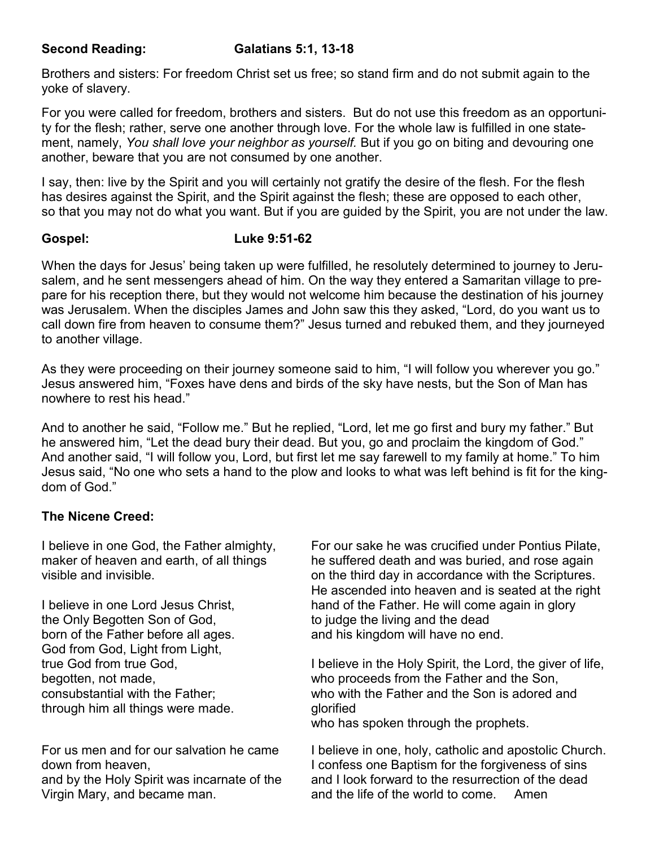### **Second Reading: Galatians 5:1, 13-18**

Brothers and sisters: For freedom Christ set us free; so stand firm and do not submit again to the yoke of slavery.

For you were called for freedom, brothers and sisters. But do not use this freedom as an opportunity for the flesh; rather, serve one another through love. For the whole law is fulfilled in one statement, namely, *You shall love your neighbor as yourself.* But if you go on biting and devouring one another, beware that you are not consumed by one another.

I say, then: live by the Spirit and you will certainly not gratify the desire of the flesh. For the flesh has desires against the Spirit, and the Spirit against the flesh; these are opposed to each other, so that you may not do what you want. But if you are guided by the Spirit, you are not under the law.

#### **Gospel: Luke 9:51-62**

When the days for Jesus' being taken up were fulfilled, he resolutely determined to journey to Jerusalem, and he sent messengers ahead of him. On the way they entered a Samaritan village to prepare for his reception there, but they would not welcome him because the destination of his journey was Jerusalem. When the disciples James and John saw this they asked, "Lord, do you want us to call down fire from heaven to consume them?" Jesus turned and rebuked them, and they journeyed to another village.

As they were proceeding on their journey someone said to him, "I will follow you wherever you go." Jesus answered him, "Foxes have dens and birds of the sky have nests, but the Son of Man has nowhere to rest his head."

And to another he said, "Follow me." But he replied, "Lord, let me go first and bury my father." But he answered him, "Let the dead bury their dead. But you, go and proclaim the kingdom of God." And another said, "I will follow you, Lord, but first let me say farewell to my family at home." To him Jesus said, "No one who sets a hand to the plow and looks to what was left behind is fit for the kingdom of God."

#### **The Nicene Creed:**

the Only Begotten Son of God, the judge the living and the dead born of the Father before all ages. and his kingdom will have no end. God from God, Light from Light, through him all things were made. glorified

Virgin Mary, and became man. All and the life of the world to come. Amen

I believe in one God, the Father almighty, For our sake he was crucified under Pontius Pilate, maker of heaven and earth, of all things he suffered death and was buried, and rose again he suffered death and was buried, and rose again visible and invisible.  $\blacksquare$  on the third day in accordance with the Scriptures. He ascended into heaven and is seated at the right I believe in one Lord Jesus Christ, hand of the Father. He will come again in glory

true God from true God, The I believe in the Holy Spirit, the Lord, the giver of life, begotten, not made, who proceeds from the Father and the Son, consubstantial with the Father; who with the Father and the Son is adored and

who has spoken through the prophets.

For us men and for our salvation he came I believe in one, holy, catholic and apostolic Church. down from heaven, The same I confess one Baptism for the forgiveness of sins and by the Holy Spirit was incarnate of the and I look forward to the resurrection of the dead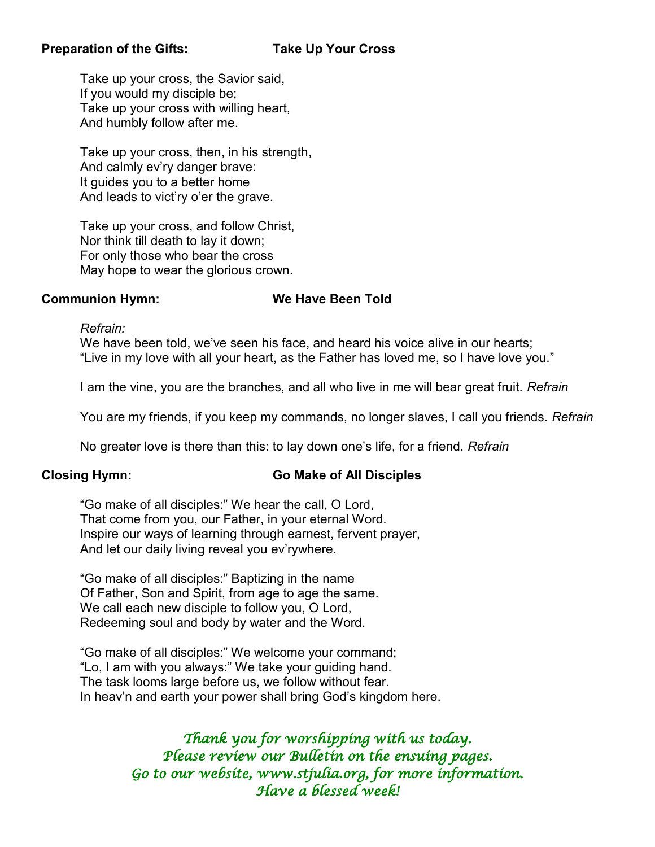Take up your cross, the Savior said, If you would my disciple be; Take up your cross with willing heart, And humbly follow after me.

Take up your cross, then, in his strength, And calmly ev'ry danger brave: It guides you to a better home And leads to vict'ry o'er the grave.

Take up your cross, and follow Christ, Nor think till death to lay it down; For only those who bear the cross May hope to wear the glorious crown.

#### **Communion Hymn: We Have Been Told**

*Refrain:* 

We have been told, we've seen his face, and heard his voice alive in our hearts; "Live in my love with all your heart, as the Father has loved me, so I have love you."

I am the vine, you are the branches, and all who live in me will bear great fruit. *Refrain*

You are my friends, if you keep my commands, no longer slaves, I call you friends. *Refrain*

No greater love is there than this: to lay down one's life, for a friend. *Refrain*

#### **Closing Hymn: Go Make of All Disciples**

"Go make of all disciples:" We hear the call, O Lord, That come from you, our Father, in your eternal Word. Inspire our ways of learning through earnest, fervent prayer, And let our daily living reveal you ev'rywhere.

"Go make of all disciples:" Baptizing in the name Of Father, Son and Spirit, from age to age the same. We call each new disciple to follow you, O Lord, Redeeming soul and body by water and the Word.

"Go make of all disciples:" We welcome your command; "Lo, I am with you always:" We take your guiding hand. The task looms large before us, we follow without fear. In heav'n and earth your power shall bring God's kingdom here.

> *Thank you for worshipping with us today. Please review our Bulletin on the ensuing pages. Go to our website, www.stjulia.org, for more information. Have a blessed week!*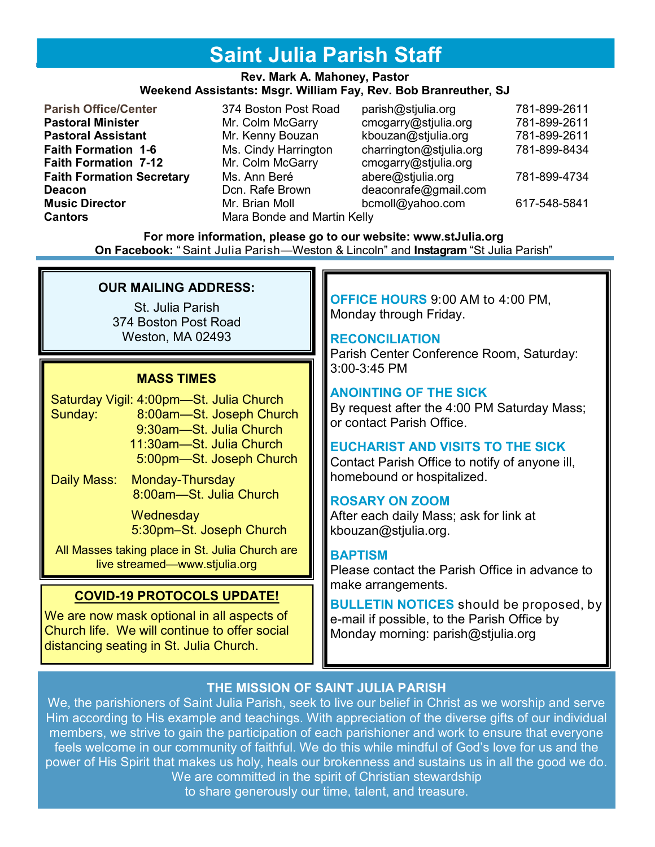# **Saint Julia Parish Staff**

### **Rev. Mark A. Mahoney, Pastor Weekend Assistants: Msgr. William Fay, Rev. Bob Branreuther, SJ**

- **Faith Formation 7-12** Mr. Colm McGarry cmcgarry@stjulia.org<br> **Faith Formation Secretary** Ms. Ann Beré abere@stiulia.org **Deacon Deacon Deacon Deaconrafe@gmail.com Deaconrafe@gmail.com**
- **Cantors** Mara Bonde and Martin Kelly
- **Parish Office/Center** 374 Boston Post Road parish@stjulia.org 781-899-2611 **Pastoral Minister** Mr. Colm McGarry cmcgarry@stjulia.org 781-899-2611 **Pastoral Assistant** Mr. Kenny Bouzan kbouzan@stjulia.org 781-899-2611 **Faith Formation 1-6** Ms. Cindy Harrington charrington@stjulia.org 781-899-8434 **Faith Formation Secretary** Ms. Ann Beré **abere@stiulia.org** 781-899-4734 **Music Director Mr. Brian Moll** bcmoll@yahoo.com 617-548-5841

**For more information, please go to our website: www.stJulia.org On Facebook:** " Saint Julia Parish—Weston & Lincoln" and **Instagram** "St Julia Parish"

### **OUR MAILING ADDRESS:**

St. Julia Parish 374 Boston Post Road Weston, MA 02493

#### **MASS TIMES**

- Saturday Vigil: 4:00pm—St. Julia Church Sunday: 8:00am—St. Joseph Church 9:30am—St. Julia Church 11:30am—St. Julia Church 5:00pm—St. Joseph Church
- Daily Mass: Monday-Thursday 8:00am—St. Julia Church

**Wednesday** 5:30pm–St. Joseph Church

All Masses taking place in St. Julia Church are live streamed—www.stjulia.org

### **COVID-19 PROTOCOLS UPDATE!**

We are now mask optional in all aspects of Church life. We will continue to offer social distancing seating in St. Julia Church.

**OFFICE HOURS** 9:00 AM to 4:00 PM, Monday through Friday.

#### **RECONCILIATION**

Parish Center Conference Room, Saturday: 3:00-3:45 PM

#### **ANOINTING OF THE SICK**

By request after the 4:00 PM Saturday Mass; or contact Parish Office.

#### **EUCHARIST AND VISITS TO THE SICK**

Contact Parish Office to notify of anyone ill, homebound or hospitalized.

#### **ROSARY ON ZOOM**

After each daily Mass; ask for link at kbouzan@stjulia.org.

#### **BAPTISM**

Please contact the Parish Office in advance to make arrangements.

**BULLETIN NOTICES** should be proposed, by e-mail if possible, to the Parish Office by Monday morning: parish@stjulia.org

### **THE MISSION OF SAINT JULIA PARISH**

We, the parishioners of Saint Julia Parish, seek to live our belief in Christ as we worship and serve Him according to His example and teachings. With appreciation of the diverse gifts of our individual members, we strive to gain the participation of each parishioner and work to ensure that everyone feels welcome in our community of faithful. We do this while mindful of God's love for us and the power of His Spirit that makes us holy, heals our brokenness and sustains us in all the good we do. We are committed in the spirit of Christian stewardship

to share generously our time, talent, and treasure.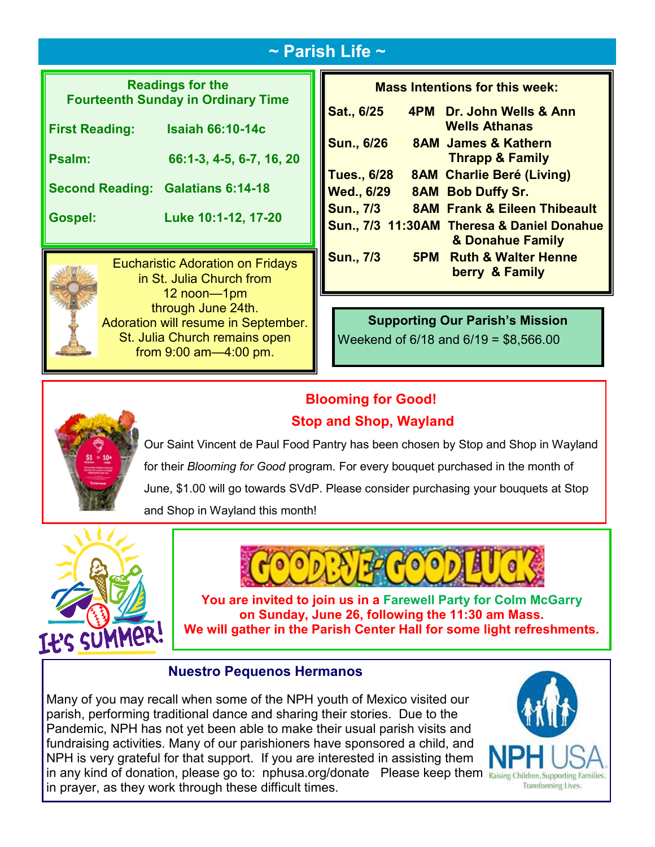## **~ Parish Life ~**

#### **Readings for the Fourteenth Sunday in Ordinary Time**

**First Reading: Isaiah 66:10-14c**

**Psalm: 66:1-3, 4-5, 6-7, 16, 20** 

**Second Reading: Galatians 6:14-18**

**Gospel: Luke 10:1-12, 17-20**



Eucharistic Adoration on Fridays in St. Julia Church from 12 noon—1pm through June 24th. Adoration will resume in September. St. Julia Church remains open from 9:00 am—4:00 pm.

#### **Mass Intentions for this week:**

| <b>Sat., 6/25</b>  | 4PM Dr. John Wells & Ann<br><b>Wells Athanas</b>               |
|--------------------|----------------------------------------------------------------|
| <b>Sun., 6/26</b>  | <b>8AM James &amp; Kathern</b><br><b>Thrapp &amp; Family</b>   |
| <b>Tues., 6/28</b> | 8AM Charlie Beré (Living)                                      |
| <b>Wed., 6/29</b>  | <b>8AM Bob Duffy Sr.</b>                                       |
| <b>Sun., 7/3</b>   | <b>8AM Frank &amp; Eileen Thibeault</b>                        |
|                    | Sun., 7/3 11:30AM Theresa & Daniel Donahue<br>& Donahue Family |
| <b>Sun., 7/3</b>   | <b>5PM</b> Ruth & Walter Henne<br>berry & Family               |

**Supporting Our Parish's Mission** Weekend of 6/18 and 6/19 = \$8,566.00

## **Blooming for Good! Stop and Shop, Wayland**



Our Saint Vincent de Paul Food Pantry has been chosen by Stop and Shop in Wayland for their *Blooming for Good* program. For every bouquet purchased in the month of June, \$1.00 will go towards SVdP. Please consider purchasing your bouquets at Stop and Shop in Wayland this month!



**You are invited to join us in a Farewell Party for Colm McGarry on Sunday, June 26, following the 11:30 am Mass. We will gather in the Parish Center Hall for some light refreshments.** 

### **Nuestro Pequenos Hermanos**

Many of you may recall when some of the NPH youth of Mexico visited our parish, performing traditional dance and sharing their stories. Due to the Pandemic, NPH has not yet been able to make their usual parish visits and fundraising activities. Many of our parishioners have sponsored a child, and NPH is very grateful for that support. If you are interested in assisting them in any kind of donation, please go to: nphusa.org/donate Please keep them  $\frac{1}{\text{Raisi}}$ in prayer, as they work through these difficult times.